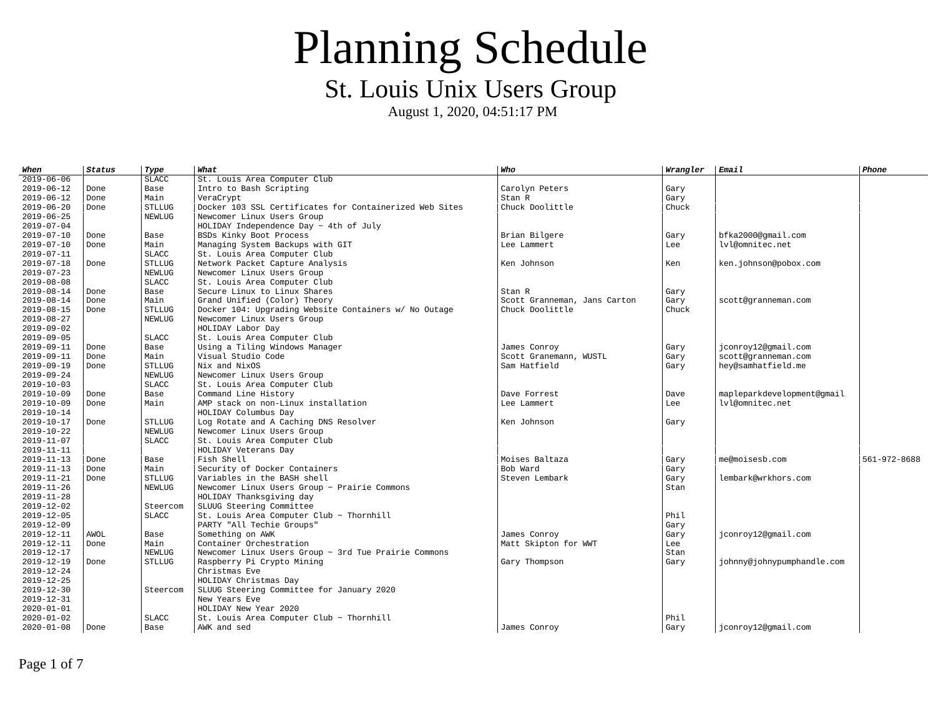| When             | <b>Status</b> | Type          | What                                                      | Who                          | Wrangler | <b>Email</b>               | Phone        |
|------------------|---------------|---------------|-----------------------------------------------------------|------------------------------|----------|----------------------------|--------------|
| $2019 - 06 - 06$ |               | <b>SLACC</b>  | St. Louis Area Computer Club                              |                              |          |                            |              |
| 2019-06-12       | Done          | Base          | Intro to Bash Scripting                                   | Carolyn Peters               | Gary     |                            |              |
| 2019-06-12       | Done          | Main          | VeraCrypt                                                 | Stan R                       | Gary     |                            |              |
| 2019-06-20       | Done          | <b>STLLUG</b> | Docker 103 SSL Certificates for Containerized Web Sites   | Chuck Doolittle              | Chuck    |                            |              |
| 2019-06-25       |               | <b>NEWLUG</b> | Newcomer Linux Users Group                                |                              |          |                            |              |
| 2019-07-04       |               |               | HOLIDAY Independence Day $\sim$ 4th of July               |                              |          |                            |              |
| 2019-07-10       | Done          | Base          | BSDs Kinky Boot Process                                   | Brian Bilgere                | Gary     | bfka2000@qmail.com         |              |
| 2019-07-10       | Done          | Main          | Managing System Backups with GIT                          | Lee Lammert                  | Lee      | lvl@omnitec.net            |              |
| 2019-07-11       |               | <b>SLACC</b>  | St. Louis Area Computer Club                              |                              |          |                            |              |
| 2019-07-18       | Done          | <b>STLLUG</b> | Network Packet Capture Analysis                           | Ken Johnson                  | Ken      | ken.johnson@pobox.com      |              |
| 2019-07-23       |               | <b>NEWLUG</b> | Newcomer Linux Users Group                                |                              |          |                            |              |
| $2019 - 08 - 08$ |               | <b>SLACC</b>  | St. Louis Area Computer Club                              |                              |          |                            |              |
| 2019-08-14       | Done          | Base          | Secure Linux to Linux Shares                              | Stan R                       | Gary     |                            |              |
| 2019-08-14       | Done          | Main          | Grand Unified (Color) Theory                              | Scott Granneman, Jans Carton | Gary     | scott@granneman.com        |              |
| $2019 - 08 - 15$ | Done          | <b>STLLUG</b> | Docker 104: Upgrading Website Containers w/ No Outage     | Chuck Doolittle              | Chuck    |                            |              |
| 2019-08-27       |               | <b>NEWLUG</b> | Newcomer Linux Users Group                                |                              |          |                            |              |
| 2019-09-02       |               |               | HOLIDAY Labor Day                                         |                              |          |                            |              |
| 2019-09-05       |               | <b>SLACC</b>  | St. Louis Area Computer Club                              |                              |          |                            |              |
| 2019-09-11       | Done          | Base          | Using a Tiling Windows Manager                            | James Conroy                 | Gary     | jconroy12@gmail.com        |              |
| 2019-09-11       | Done          | Main          | Visual Studio Code                                        | Scott Granemann, WUSTL       | Gary     | scott@granneman.com        |              |
| 2019-09-19       | Done          | <b>STLLUG</b> | Nix and NixOS                                             | Sam Hatfield                 | Gary     | hey@samhatfield.me         |              |
| 2019-09-24       |               | <b>NEWLUG</b> | Newcomer Linux Users Group                                |                              |          |                            |              |
| 2019-10-03       |               | <b>SLACC</b>  | St. Louis Area Computer Club                              |                              |          |                            |              |
| 2019-10-09       | Done          | Base          | Command Line History                                      | Dave Forrest                 | Dave     | mapleparkdevelopment@gmail |              |
| 2019-10-09       | Done          | Main          | AMP stack on non-Linux installation                       | Lee Lammert                  | Lee      | lvl@omnitec.net            |              |
| 2019-10-14       |               |               | HOLIDAY Columbus Day                                      |                              |          |                            |              |
| 2019-10-17       | Done          | <b>STLLUG</b> | Log Rotate and A Caching DNS Resolver                     | Ken Johnson                  | Gary     |                            |              |
| 2019-10-22       |               | <b>NEWLUG</b> | Newcomer Linux Users Group                                |                              |          |                            |              |
| 2019-11-07       |               | <b>SLACC</b>  | St. Louis Area Computer Club                              |                              |          |                            |              |
| $2019 - 11 - 11$ |               |               | HOLIDAY Veterans Day                                      |                              |          |                            |              |
| 2019-11-13       | Done          | Base          | Fish Shell                                                | Moises Baltaza               | Gary     | me@moisesb.com             | 561-972-8688 |
| 2019-11-13       | Done          | Main          | Security of Docker Containers                             | Bob Ward                     | Gary     |                            |              |
| 2019-11-21       | Done          | <b>STLLUG</b> | Variables in the BASH shell                               | Steven Lembark               | Gary     | lembark@wrkhors.com        |              |
| 2019-11-26       |               | <b>NEWLUG</b> | Newcomer Linux Users Group ~ Prairie Commons              |                              | Stan     |                            |              |
| 2019-11-28       |               |               | HOLIDAY Thanksgiving day                                  |                              |          |                            |              |
| 2019-12-02       |               | Steercom      | SLUUG Steering Committee                                  |                              |          |                            |              |
| $2019 - 12 - 05$ |               | <b>SLACC</b>  | St. Louis Area Computer Club ~ Thornhill                  |                              | Phil     |                            |              |
| 2019-12-09       |               |               | PARTY "All Techie Groups"                                 |                              | Gary     |                            |              |
| 2019-12-11       | AWOL          | Base          | Something on AWK                                          | James Conrov                 | Gary     | jconroy12@gmail.com        |              |
| 2019-12-11       | Done          | Main          | Container Orchestration                                   | Matt Skipton for WWT         | Lee      |                            |              |
| 2019-12-17       |               | <b>NEWLUG</b> | Newcomer Linux Users Group $\sim$ 3rd Tue Prairie Commons |                              | Stan     |                            |              |
| 2019-12-19       | Done          | <b>STLLUG</b> | Raspberry Pi Crypto Mining                                | Gary Thompson                | Gary     | johnny@johnypumphandle.com |              |
| 2019-12-24       |               |               | Christmas Eve                                             |                              |          |                            |              |
| 2019-12-25       |               |               | HOLIDAY Christmas Day                                     |                              |          |                            |              |
| 2019-12-30       |               | Steercom      | SLUUG Steering Committee for January 2020                 |                              |          |                            |              |
| 2019-12-31       |               |               | New Years Eve                                             |                              |          |                            |              |
| 2020-01-01       |               |               | HOLIDAY New Year 2020                                     |                              |          |                            |              |
| 2020-01-02       |               | <b>SLACC</b>  | St. Louis Area Computer Club ~ Thornhill                  |                              | Phil     |                            |              |
| 2020-01-08       | Done          | Base          | AWK and sed                                               | James Conroy                 | Gary     | jconroy12@gmail.com        |              |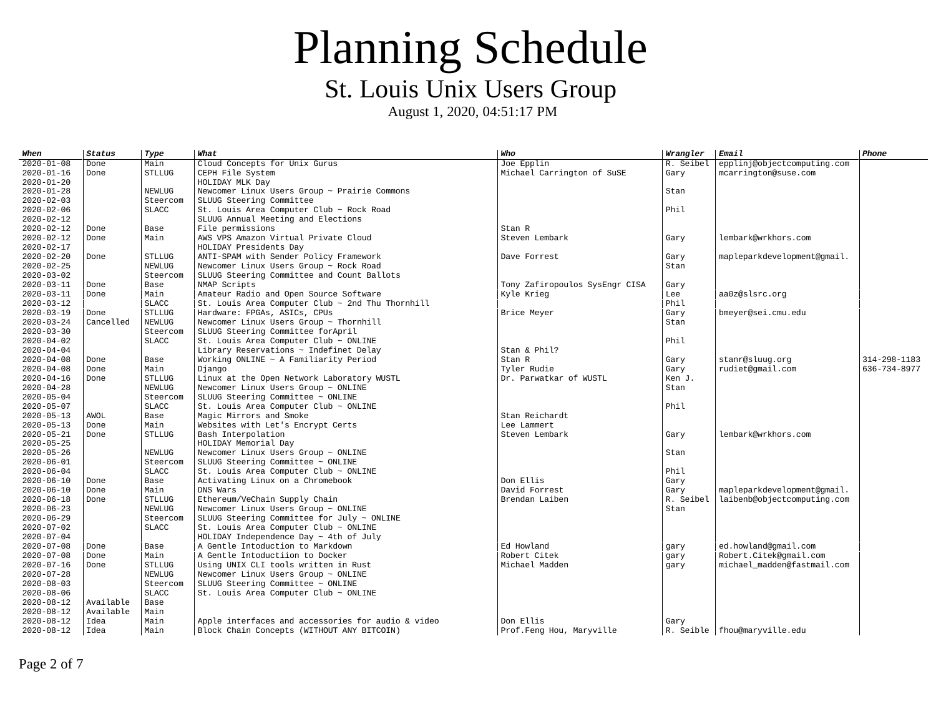| When             | Status    | Type          | What                                                  | Who                            | Wrangler  | Email                          | Phone        |
|------------------|-----------|---------------|-------------------------------------------------------|--------------------------------|-----------|--------------------------------|--------------|
| $2020 - 01 - 08$ | Done      | Main          | Cloud Concepts for Unix Gurus                         | Joe Epplin                     | R. Seibel | epplinj@objectcomputing.com    |              |
| $2020 - 01 - 16$ | Done      | <b>STLLUG</b> | CEPH File System                                      | Michael Carrington of SuSE     | Gary      | mcarrington@suse.com           |              |
| 2020-01-20       |           |               | HOLIDAY MLK Day                                       |                                |           |                                |              |
| 2020-01-28       |           | <b>NEWLUG</b> | Newcomer Linux Users Group ~ Prairie Commons          |                                | Stan      |                                |              |
| 2020-02-03       |           | Steercom      | SLUUG Steering Committee                              |                                |           |                                |              |
| 2020-02-06       |           | <b>SLACC</b>  | St. Louis Area Computer Club ~ Rock Road              |                                | Phil      |                                |              |
| 2020-02-12       |           |               | SLUUG Annual Meeting and Elections                    |                                |           |                                |              |
| 2020-02-12       | Done      | Base          | File permissions                                      | Stan R                         |           |                                |              |
| 2020-02-12       | Done      | Main          | AWS VPS Amazon Virtual Private Cloud                  | Steven Lembark                 | Gary      | lembark@wrkhors.com            |              |
| 2020-02-17       |           |               | HOLIDAY Presidents Day                                |                                |           |                                |              |
| 2020-02-20       | Done      | <b>STLLUG</b> | ANTI-SPAM with Sender Policy Framework                | Dave Forrest                   | Gary      | mapleparkdevelopment@gmail.    |              |
| 2020-02-25       |           | <b>NEWLUG</b> | Newcomer Linux Users Group ~ Rock Road                |                                | Stan      |                                |              |
| 2020-03-02       |           | Steercom      | SLUUG Steering Committee and Count Ballots            |                                |           |                                |              |
| 2020-03-11       | Done      | Base          | NMAP Scripts                                          | Tony Zafiropoulos SysEngr CISA | Gary      |                                |              |
| 2020-03-11       | Done      | Main          | Amateur Radio and Open Source Software                | Kyle Krieg                     | Lee       | aa0z@slsrc.org                 |              |
| 2020-03-12       |           | <b>SLACC</b>  | St. Louis Area Computer Club $\sim$ 2nd Thu Thornhill |                                | Phil      |                                |              |
| 2020-03-19       | Done      | <b>STLLUG</b> | Hardware: FPGAs, ASICs, CPUs                          | Brice Meyer                    | Gary      | bmeyer@sei.cmu.edu             |              |
| 2020-03-24       | Cancelled | <b>NEWLUG</b> | Newcomer Linux Users Group ~ Thornhill                |                                | Stan      |                                |              |
| 2020-03-30       |           | Steercom      | SLUUG Steering Committee forApril                     |                                |           |                                |              |
| 2020-04-02       |           | <b>SLACC</b>  | St. Louis Area Computer Club $\sim$ ONLINE            |                                | Phil      |                                |              |
| 2020-04-04       |           |               | Library Reservations $\sim$ Indefinet Delay           | Stan & Phil?                   |           |                                |              |
| 2020-04-08       | Done      | Base          | Working ONLINE $\sim$ A Familiarity Period            | Stan R                         | Gary      | stanr@sluug.org                | 314-298-1183 |
| 2020-04-08       | Done      | Main          | Django                                                | Tyler Rudie                    | Gary      | rudiet@gmail.com               | 636-734-8977 |
| 2020-04-16       | Done      | <b>STLLUG</b> | Linux at the Open Network Laboratory WUSTL            | Dr. Parwatkar of WUSTL         | Ken J.    |                                |              |
| 2020-04-28       |           | <b>NEWLUG</b> | Newcomer Linux Users Group ~ ONLINE                   |                                | Stan      |                                |              |
| 2020-05-04       |           | Steercom      | SLUUG Steering Committee $\sim$ ONLINE                |                                |           |                                |              |
| 2020-05-07       |           | <b>SLACC</b>  | St. Louis Area Computer Club $\sim$ ONLINE            |                                | Phil      |                                |              |
| 2020-05-13       | AWOL      | Base          | Magic Mirrors and Smoke                               | Stan Reichardt                 |           |                                |              |
| 2020-05-13       | Done      | Main          | Websites with Let's Encrypt Certs                     | Lee Lammert                    |           |                                |              |
| 2020-05-21       | Done      | <b>STLLUG</b> | Bash Interpolation                                    | Steven Lembark                 | Gary      | lembark@wrkhors.com            |              |
| 2020-05-25       |           |               | HOLIDAY Memorial Day                                  |                                |           |                                |              |
| 2020-05-26       |           | <b>NEWLUG</b> | Newcomer Linux Users Group $\sim$ ONLINE              |                                | Stan      |                                |              |
| 2020-06-01       |           | Steercom      | SLUUG Steering Committee ~ ONLINE                     |                                |           |                                |              |
| 2020-06-04       |           | <b>SLACC</b>  | St. Louis Area Computer Club $\sim$ ONLINE            |                                | Phil      |                                |              |
| $2020 - 06 - 10$ | Done      | Base          | Activating Linux on a Chromebook                      | Don Ellis                      | Gary      |                                |              |
| 2020-06-10       | Done      | Main          | DNS Wars                                              | David Forrest                  | Gary      | mapleparkdevelopment@qmail.    |              |
| 2020-06-18       | Done      | <b>STLLUG</b> | Ethereum/VeChain Supply Chain                         | Brendan Laiben                 | R. Seibel | laibenb@objectcomputing.com    |              |
| 2020-06-23       |           | <b>NEWLUG</b> | Newcomer Linux Users Group ~ ONLINE                   |                                | Stan      |                                |              |
| 2020-06-29       |           | Steercom      | SLUUG Steering Committee for July $\sim$ ONLINE       |                                |           |                                |              |
| 2020-07-02       |           | <b>SLACC</b>  | St. Louis Area Computer Club $\sim$ ONLINE            |                                |           |                                |              |
| 2020-07-04       |           |               | HOLIDAY Independence Day $\sim$ 4th of July           |                                |           |                                |              |
| 2020-07-08       | Done      | Base          | A Gentle Intoduction to Markdown                      | Ed Howland                     | gary      | ed.howland@gmail.com           |              |
| 2020-07-08       | Done      | Main          | A Gentle Intoductiion to Docker                       | Robert Citek                   | gary      | Robert.Citek@gmail.com         |              |
| $2020 - 07 - 16$ | Done      | <b>STLLUG</b> | Using UNIX CLI tools written in Rust                  | Michael Madden                 | gary      | michael madden@fastmail.com    |              |
| 2020-07-28       |           | <b>NEWLUG</b> | Newcomer Linux Users Group $\sim$ ONLINE              |                                |           |                                |              |
| $2020 - 08 - 03$ |           | Steercom      | SLUUG Steering Committee ~ ONLINE                     |                                |           |                                |              |
| 2020-08-06       |           | <b>SLACC</b>  | St. Louis Area Computer Club $\sim$ ONLINE            |                                |           |                                |              |
| 2020-08-12       | Available | Base          |                                                       |                                |           |                                |              |
| 2020-08-12       | Available | Main          |                                                       |                                |           |                                |              |
| 2020-08-12       | Idea      | Main          | Apple interfaces and accessories for audio & video    | Don Ellis                      | Gary      |                                |              |
| 2020-08-12       | Idea      | Main          | Block Chain Concepts (WITHOUT ANY BITCOIN)            | Prof.Feng Hou, Maryville       |           | R. Seible   fhou@maryville.edu |              |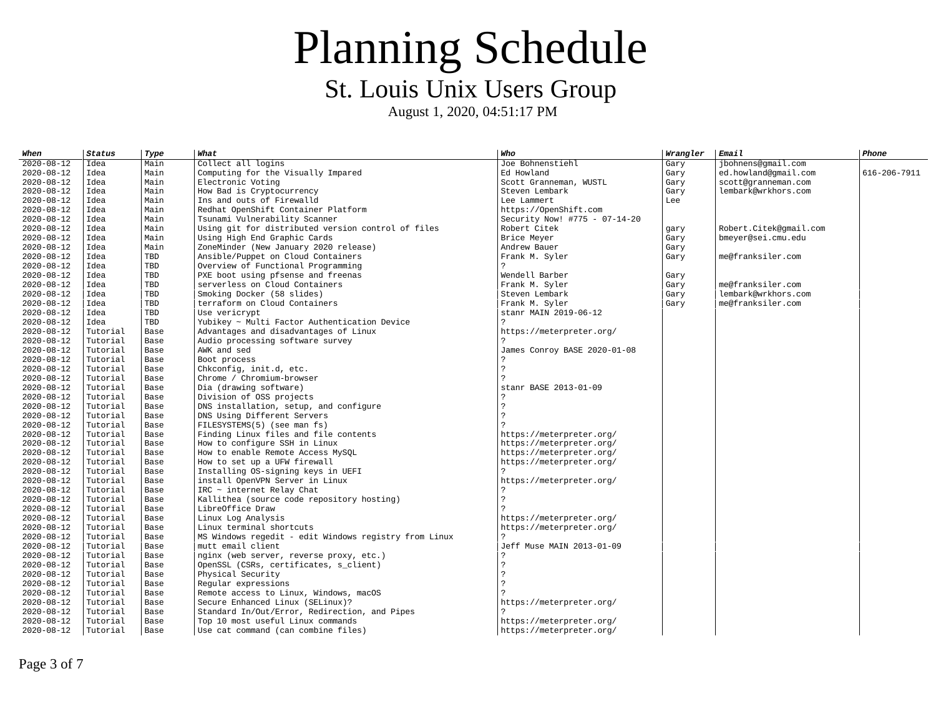| When             | <b>Status</b> | Type       | What                                                  | Who                           | Wrangler | <b>Email</b>           | Phone        |
|------------------|---------------|------------|-------------------------------------------------------|-------------------------------|----------|------------------------|--------------|
| 2020-08-12       | Idea          | Main       | Collect all logins                                    | Joe Bohnenstiehl              | Gary     | jbohnens@gmail.com     |              |
| $2020 - 08 - 12$ | Idea          | Main       | Computing for the Visually Impared                    | Ed Howland                    | Gary     | ed.howland@gmail.com   | 616-206-7911 |
| 2020-08-12       | Idea          | Main       | Electronic Voting                                     | Scott Granneman, WUSTL        | Gary     | scott@granneman.com    |              |
| $2020 - 08 - 12$ | Idea          | Main       | How Bad is Cryptocurrency                             | Steven Lembark                | Gary     | lembark@wrkhors.com    |              |
| 2020-08-12       | Idea          | Main       | Ins and outs of Firewalld                             | Lee Lammert                   | Lee      |                        |              |
| 2020-08-12       | Idea          | Main       | Redhat OpenShift Container Platform                   | https://0penShift.com         |          |                        |              |
| 2020-08-12       | Idea          | Main       | Tsunami Vulnerability Scanner                         | Security Now! #775 - 07-14-20 |          |                        |              |
| 2020-08-12       | Idea          | Main       | Using git for distributed version control of files    | Robert Citek                  | gary     | Robert.Citek@qmail.com |              |
| 2020-08-12       | Idea          | Main       | Using High End Graphic Cards                          | Brice Meyer                   | Gary     | bmeyer@sei.cmu.edu     |              |
| $2020 - 08 - 12$ | Idea          | Main       | ZoneMinder (New January 2020 release)                 | Andrew Bauer                  | Gary     |                        |              |
| $2020 - 08 - 12$ | Idea          | <b>TBD</b> | Ansible/Puppet on Cloud Containers                    | Frank M. Syler                | Gary     | me@franksiler.com      |              |
| $2020 - 08 - 12$ | Idea          | <b>TBD</b> | Overview of Functional Programming                    | $\overline{\phantom{a}}$      |          |                        |              |
| 2020-08-12       | Idea          | <b>TBD</b> | PXE boot using pfsense and freenas                    | Wendell Barber                | Gary     |                        |              |
| $2020 - 08 - 12$ | Idea          | <b>TBD</b> | serverless on Cloud Containers                        | Frank M. Syler                | Gary     | me@franksiler.com      |              |
| 2020-08-12       | Idea          | <b>TBD</b> | Smoking Docker (58 slides)                            | Steven Lembark                | Gary     | lembark@wrkhors.com    |              |
| $2020 - 08 - 12$ | Idea          | <b>TBD</b> | terraform on Cloud Containers                         | Frank M. Syler                | Gary     | me@franksiler.com      |              |
| 2020-08-12       | Idea          | <b>TBD</b> | Use vericrypt                                         | stanr MAIN 2019-06-12         |          |                        |              |
| $2020 - 08 - 12$ | Idea          | <b>TBD</b> | Yubikey ~ Multi Factor Authentication Device          | $\overline{\phantom{a}}$      |          |                        |              |
| $2020 - 08 - 12$ | Tutorial      | Base       | Advantages and disadvantages of Linux                 | https://meterpreter.org/      |          |                        |              |
| 2020-08-12       | Tutorial      | Base       | Audio processing software survey                      |                               |          |                        |              |
| $2020 - 08 - 12$ | Tutorial      | Base       | AWK and sed                                           | James Conroy BASE 2020-01-08  |          |                        |              |
| 2020-08-12       | Tutorial      | Base       | Boot process                                          |                               |          |                        |              |
| $2020 - 08 - 12$ | Tutorial      | Base       | Chkconfig, init.d, etc.                               | $\mathcal{P}$                 |          |                        |              |
| 2020-08-12       | Tutorial      | Base       | Chrome / Chromium-browser                             | $\mathcal{P}$                 |          |                        |              |
| 2020-08-12       | Tutorial      | Base       | Dia (drawing software)                                | stanr BASE 2013-01-09         |          |                        |              |
| 2020-08-12       | Tutorial      | Base       | Division of OSS projects                              |                               |          |                        |              |
| 2020-08-12       | Tutorial      | Base       | DNS installation, setup, and configure                | ?                             |          |                        |              |
| 2020-08-12       | Tutorial      | Base       | DNS Using Different Servers                           | $\mathcal{P}$                 |          |                        |              |
| $2020 - 08 - 12$ | Tutorial      | Base       | FILESYSTEMS(5) (see man fs)                           |                               |          |                        |              |
| 2020-08-12       | Tutorial      | Base       | Finding Linux files and file contents                 | https://meterpreter.org/      |          |                        |              |
| 2020-08-12       | Tutorial      | Base       | How to configure SSH in Linux                         | https://meterpreter.org/      |          |                        |              |
| 2020-08-12       | Tutorial      | Base       | How to enable Remote Access MySQL                     | https://meterpreter.org/      |          |                        |              |
| 2020-08-12       | Tutorial      | Base       | How to set up a UFW firewall                          | https://meterpreter.org/      |          |                        |              |
| 2020-08-12       | Tutorial      | Base       | Installing OS-signing keys in UEFI                    |                               |          |                        |              |
| 2020-08-12       | Tutorial      | Base       | install OpenVPN Server in Linux                       | https://meterpreter.org/      |          |                        |              |
| $2020 - 08 - 12$ | Tutorial      | Base       | $IRC$ ~ internet Relay Chat                           | 2                             |          |                        |              |
| 2020-08-12       | Tutorial      | Base       | Kallithea (source code repository hosting)            | $\mathcal{P}$                 |          |                        |              |
| 2020-08-12       | Tutorial      | Base       | LibreOffice Draw                                      |                               |          |                        |              |
| 2020-08-12       | Tutorial      | Base       | Linux Log Analysis                                    | https://meterpreter.org/      |          |                        |              |
| 2020-08-12       | Tutorial      | Base       | Linux terminal shortcuts                              | https://meterpreter.org/      |          |                        |              |
| $2020 - 08 - 12$ | Tutorial      | Base       | MS Windows regedit - edit Windows registry from Linux |                               |          |                        |              |
| $2020 - 08 - 12$ | Tutorial      | Base       | mutt email client                                     | Jeff Muse MAIN 2013-01-09     |          |                        |              |
| $2020 - 08 - 12$ | Tutorial      | Base       | nginx (web server, reverse proxy, etc.)               | $\mathcal{P}$                 |          |                        |              |
| $2020 - 08 - 12$ | Tutorial      | Base       | OpenSSL (CSRs, certificates, s_client)                | ?                             |          |                        |              |
| 2020-08-12       | Tutorial      | Base       | Physical Security                                     | $\overline{z}$                |          |                        |              |
| 2020-08-12       | Tutorial      | Base       | Regular expressions                                   | $\overline{2}$                |          |                        |              |
| 2020-08-12       | Tutorial      | Base       | Remote access to Linux, Windows, macOS                |                               |          |                        |              |
| 2020-08-12       | Tutorial      | Base       | Secure Enhanced Linux (SELinux)?                      | https://meterpreter.org/      |          |                        |              |
| $2020 - 08 - 12$ | Tutorial      | Base       | Standard In/Out/Error, Redirection, and Pipes         |                               |          |                        |              |
| $2020 - 08 - 12$ | Tutorial      | Base       | Top 10 most useful Linux commands                     | https://meterpreter.org/      |          |                        |              |
| 2020-08-12       | Tutorial      | Base       | Use cat command (can combine files)                   | https://meterpreter.org/      |          |                        |              |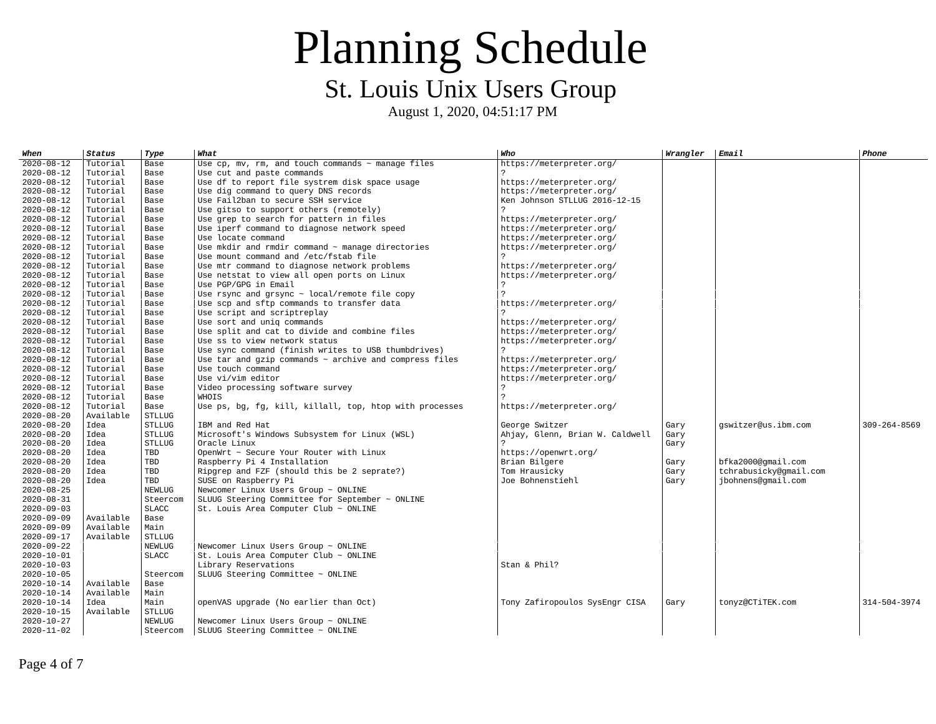| When             | <b>Status</b> | Type          | What                                                        | Who                             | Wrangler | <b>Email</b>           | Phone        |
|------------------|---------------|---------------|-------------------------------------------------------------|---------------------------------|----------|------------------------|--------------|
| 2020-08-12       | Tutorial      | Base          | Use $cp$ , mv, rm, and touch commands $\sim$ manage files   | https://meterpreter.org/        |          |                        |              |
| 2020-08-12       | Tutorial      | Base          | Use cut and paste commands                                  | 2                               |          |                        |              |
| 2020-08-12       | Tutorial      | Base          | Use df to report file systrem disk space usage              | https://meterpreter.org/        |          |                        |              |
| 2020-08-12       | Tutorial      | Base          | Use dig command to query DNS records                        | https://meterpreter.org/        |          |                        |              |
| 2020-08-12       | Tutorial      | Base          | Use Fail2ban to secure SSH service                          | Ken Johnson STLLUG 2016-12-15   |          |                        |              |
| $2020 - 08 - 12$ | Tutorial      | Base          | Use gitso to support others (remotely)                      |                                 |          |                        |              |
| 2020-08-12       | Tutorial      | Base          | Use grep to search for pattern in files                     | https://meterpreter.org/        |          |                        |              |
| 2020-08-12       | Tutorial      | Base          | Use iperf command to diagnose network speed                 | https://meterpreter.org/        |          |                        |              |
| 2020-08-12       | Tutorial      | Base          | Use locate command                                          | https://meterpreter.org/        |          |                        |              |
| 2020-08-12       | Tutorial      | Base          | Use mkdir and rmdir command $\sim$ manage directories       | https://meterpreter.org/        |          |                        |              |
| 2020-08-12       | Tutorial      | Base          | Use mount command and /etc/fstab file                       | 2                               |          |                        |              |
| 2020-08-12       | Tutorial      | Base          | Use mtr command to diagnose network problems                | https://meterpreter.org/        |          |                        |              |
| 2020-08-12       | Tutorial      | Base          | Use netstat to view all open ports on Linux                 | https://meterpreter.org/        |          |                        |              |
| 2020-08-12       | Tutorial      | Base          | Use PGP/GPG in Email                                        | $\mathcal{P}$                   |          |                        |              |
| 2020-08-12       | Tutorial      | Base          | Use rsync and grsync $\sim$ local/remote file copy          | $\mathcal{P}$                   |          |                        |              |
| 2020-08-12       | Tutorial      | Base          | Use scp and sftp commands to transfer data                  | https://meterpreter.org/        |          |                        |              |
| 2020-08-12       | Tutorial      | Base          | Use script and scriptreplay                                 |                                 |          |                        |              |
| 2020-08-12       | Tutorial      | Base          | Use sort and uniq commands                                  | https://meterpreter.org/        |          |                        |              |
| 2020-08-12       | Tutorial      | Base          | Use split and cat to divide and combine files               | https://meterpreter.org/        |          |                        |              |
| 2020-08-12       | Tutorial      | Base          | Use ss to view network status                               | https://meterpreter.org/        |          |                        |              |
| 2020-08-12       | Tutorial      | Base          | Use sync command (finish writes to USB thumbdrives)         | $\mathcal{P}$                   |          |                        |              |
| 2020-08-12       | Tutorial      | Base          | Use tar and gzip commands $\sim$ archive and compress files | https://meterpreter.org/        |          |                        |              |
| 2020-08-12       | Tutorial      | Base          | Use touch command                                           | https://meterpreter.org/        |          |                        |              |
| 2020-08-12       | Tutorial      | Base          | Use vi/vim editor                                           | https://meterpreter.org/        |          |                        |              |
| 2020-08-12       | Tutorial      | Base          | Video processing software survey                            |                                 |          |                        |              |
| $2020 - 08 - 12$ | Tutorial      | Base          | WHOIS                                                       | $\mathcal{P}$                   |          |                        |              |
| 2020-08-12       | Tutorial      | Base          | Use ps, bg, fg, kill, killall, top, htop with processes     | https://meterpreter.org/        |          |                        |              |
| 2020-08-20       | Available     | <b>STLLUG</b> |                                                             |                                 |          |                        |              |
| 2020-08-20       | Idea          | <b>STLLUG</b> | IBM and Red Hat                                             | George Switzer                  | Gary     | gswitzer@us.ibm.com    | 309-264-8569 |
| 2020-08-20       | Idea          | <b>STLLUG</b> | Microsoft's Windows Subsystem for Linux (WSL)               | Ahjay, Glenn, Brian W. Caldwell | Gary     |                        |              |
| 2020-08-20       | Idea          | <b>STLLUG</b> | Oracle Linux                                                |                                 | Gary     |                        |              |
| 2020-08-20       | Idea          | TBD           | OpenWrt ~ Secure Your Router with Linux                     | https://openwrt.org/            |          |                        |              |
| 2020-08-20       | Idea          | <b>TBD</b>    | Raspberry Pi 4 Installation                                 | Brian Bilgere                   | Gary     | bfka2000@qmail.com     |              |
| 2020-08-20       | Idea          | <b>TBD</b>    | Ripgrep and FZF (should this be 2 seprate?)                 | Tom Hrausicky                   | Gary     | tchrabusicky@gmail.com |              |
| 2020-08-20       | Idea          | TBD           | SUSE on Raspberry Pi                                        | Joe Bohnenstiehl                | Gary     | jbohnens@gmail.com     |              |
| 2020-08-25       |               | <b>NEWLUG</b> | Newcomer Linux Users Group ~ ONLINE                         |                                 |          |                        |              |
| 2020-08-31       |               | Steercom      | SLUUG Steering Committee for September $\sim$ ONLINE        |                                 |          |                        |              |
| $2020 - 09 - 03$ |               | <b>SLACC</b>  | St. Louis Area Computer Club $\sim$ ONLINE                  |                                 |          |                        |              |
| 2020-09-09       | Available     | Base          |                                                             |                                 |          |                        |              |
| 2020-09-09       | Available     | Main          |                                                             |                                 |          |                        |              |
| 2020-09-17       | Available     | <b>STLLUG</b> |                                                             |                                 |          |                        |              |
| 2020-09-22       |               | NEWLUG        | Newcomer Linux Users Group ~ ONLINE                         |                                 |          |                        |              |
| $2020 - 10 - 01$ |               | <b>SLACC</b>  | St. Louis Area Computer Club $\sim$ ONLINE                  |                                 |          |                        |              |
| 2020-10-03       |               |               | Library Reservations                                        | Stan & Phil?                    |          |                        |              |
| 2020-10-05       |               | Steercom      | SLUUG Steering Committee $\sim$ ONLINE                      |                                 |          |                        |              |
| 2020-10-14       | Available     | Base          |                                                             |                                 |          |                        |              |
| 2020-10-14       | Available     | Main          |                                                             |                                 |          |                        |              |
| 2020-10-14       | Idea          | Main          | openVAS upgrade (No earlier than Oct)                       | Tony Zafiropoulos SysEngr CISA  | Gary     | tonyz@CTiTEK.com       | 314-504-3974 |
| 2020-10-15       | Available     | <b>STLLUG</b> |                                                             |                                 |          |                        |              |
| $2020 - 10 - 27$ |               | <b>NEWLUG</b> | Newcomer Linux Users Group ~ ONLINE                         |                                 |          |                        |              |
| $2020 - 11 - 02$ |               | Steercom      | SLUUG Steering Committee $\sim$ ONLINE                      |                                 |          |                        |              |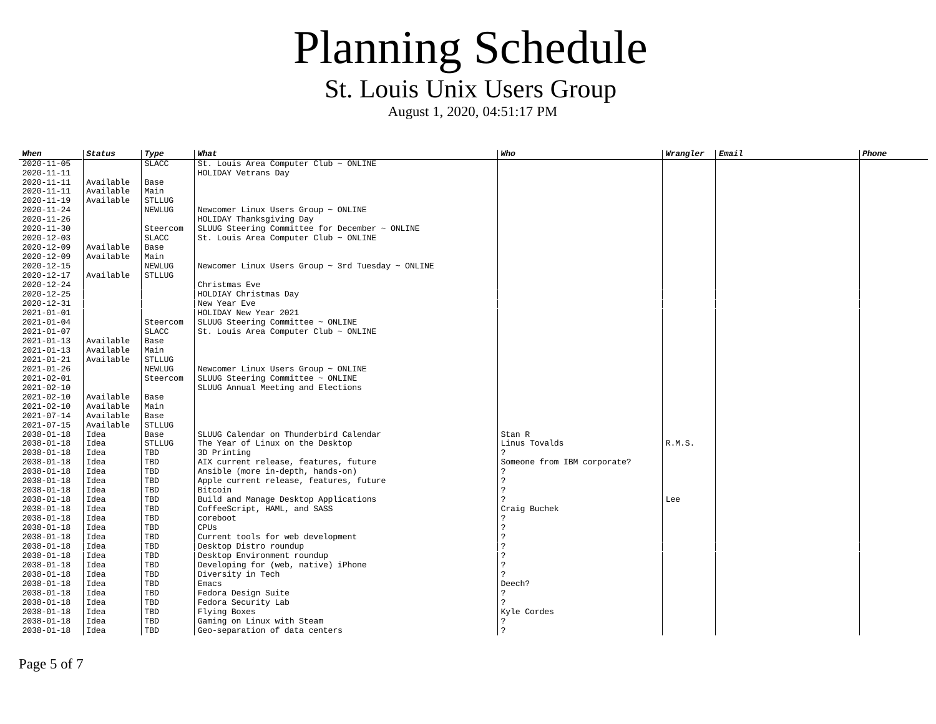August 1, 2020, 04:51:17 PM

| When       | Status    | Type          | What                                                        | Who                         | Wrangler | <b>Email</b> | Phone |
|------------|-----------|---------------|-------------------------------------------------------------|-----------------------------|----------|--------------|-------|
| 2020-11-05 |           | <b>SLACC</b>  | St. Louis Area Computer Club $\sim$ ONLINE                  |                             |          |              |       |
| 2020-11-11 |           |               | HOLIDAY Vetrans Day                                         |                             |          |              |       |
| 2020-11-11 | Available | Base          |                                                             |                             |          |              |       |
| 2020-11-11 | Available | Main          |                                                             |                             |          |              |       |
| 2020-11-19 | Available | <b>STLLUG</b> |                                                             |                             |          |              |       |
| 2020-11-24 |           | NEWLUG        | Newcomer Linux Users Group ~ ONLINE                         |                             |          |              |       |
| 2020-11-26 |           |               | HOLIDAY Thanksgiving Day                                    |                             |          |              |       |
| 2020-11-30 |           | Steercom      | SLUUG Steering Committee for December $\sim$ ONLINE         |                             |          |              |       |
| 2020-12-03 |           | <b>SLACC</b>  | St. Louis Area Computer Club $\sim$ ONLINE                  |                             |          |              |       |
| 2020-12-09 | Available | Base          |                                                             |                             |          |              |       |
| 2020-12-09 | Available | Main          |                                                             |                             |          |              |       |
| 2020-12-15 |           | NEWLUG        | Newcomer Linux Users Group $\sim$ 3rd Tuesday $\sim$ ONLINE |                             |          |              |       |
| 2020-12-17 | Available | <b>STLLUG</b> |                                                             |                             |          |              |       |
| 2020-12-24 |           |               | Christmas Eve                                               |                             |          |              |       |
| 2020-12-25 |           |               | HOLDIAY Christmas Day                                       |                             |          |              |       |
| 2020-12-31 |           |               | New Year Eve                                                |                             |          |              |       |
| 2021-01-01 |           |               | HOLIDAY New Year 2021                                       |                             |          |              |       |
| 2021-01-04 |           | Steercom      | SLUUG Steering Committee $\sim$ ONLINE                      |                             |          |              |       |
| 2021-01-07 |           | <b>SLACC</b>  | St. Louis Area Computer Club $\sim$ ONLINE                  |                             |          |              |       |
| 2021-01-13 | Available | Base          |                                                             |                             |          |              |       |
| 2021-01-13 | Available | Main          |                                                             |                             |          |              |       |
| 2021-01-21 | Available | <b>STLLUG</b> |                                                             |                             |          |              |       |
| 2021-01-26 |           | NEWLUG        | Newcomer Linux Users Group $\sim$ ONLINE                    |                             |          |              |       |
| 2021-02-01 |           | Steercom      | SLUUG Steering Committee $\sim$ ONLINE                      |                             |          |              |       |
| 2021-02-10 |           |               | SLUUG Annual Meeting and Elections                          |                             |          |              |       |
| 2021-02-10 | Available | Base          |                                                             |                             |          |              |       |
| 2021-02-10 | Available | Main          |                                                             |                             |          |              |       |
| 2021-07-14 | Available | Base          |                                                             |                             |          |              |       |
| 2021-07-15 | Available | <b>STLLUG</b> |                                                             |                             |          |              |       |
| 2038-01-18 | Idea      | Base          | SLUUG Calendar on Thunderbird Calendar                      | Stan R                      |          |              |       |
| 2038-01-18 | Idea      | <b>STLLUG</b> | The Year of Linux on the Desktop                            | Linus Tovalds               | R.M.S.   |              |       |
| 2038-01-18 | Idea      | TBD           | 3D Printing                                                 |                             |          |              |       |
| 2038-01-18 | Idea      | <b>TBD</b>    | AIX current release, features, future                       | Someone from IBM corporate? |          |              |       |
| 2038-01-18 | Idea      | <b>TBD</b>    | Ansible (more in-depth, hands-on)                           |                             |          |              |       |
| 2038-01-18 | Idea      | TBD           | Apple current release, features, future                     | 2                           |          |              |       |
| 2038-01-18 | Idea      | <b>TBD</b>    | Bitcoin                                                     | 2                           |          |              |       |
| 2038-01-18 | Idea      | <b>TBD</b>    | Build and Manage Desktop Applications                       |                             | Lee      |              |       |
| 2038-01-18 | Idea      | TBD           | CoffeeScript, HAML, and SASS                                | Craig Buchek                |          |              |       |
| 2038-01-18 | Idea      | TBD           | coreboot                                                    |                             |          |              |       |
| 2038-01-18 | Idea      | <b>TBD</b>    | <b>CPUS</b>                                                 | っ                           |          |              |       |
| 2038-01-18 | Idea      | <b>TBD</b>    | Current tools for web development                           | 2                           |          |              |       |
| 2038-01-18 | Idea      | TBD           | Desktop Distro roundup                                      |                             |          |              |       |
| 2038-01-18 | Idea      | TBD           | Desktop Environment roundup                                 | 2                           |          |              |       |
| 2038-01-18 | Idea      | <b>TBD</b>    | Developing for (web, native) iPhone                         | 2                           |          |              |       |
| 2038-01-18 | Idea      | <b>TBD</b>    | Diversity in Tech                                           |                             |          |              |       |
| 2038-01-18 | Idea      | TBD           | Emacs                                                       | Deech?                      |          |              |       |
| 2038-01-18 | Idea      | <b>TBD</b>    | Fedora Design Suite                                         | $\mathcal{P}$               |          |              |       |
| 2038-01-18 | Idea      | <b>TBD</b>    | Fedora Security Lab                                         |                             |          |              |       |
| 2038-01-18 | Idea      | TBD           | Flying Boxes                                                | Kyle Cordes                 |          |              |       |
| 2038-01-18 | Idea      | <b>TBD</b>    | Gaming on Linux with Steam                                  |                             |          |              |       |
| 2038-01-18 | Idea      | <b>TBD</b>    | Geo-separation of data centers                              | $\boldsymbol{\mathcal{P}}$  |          |              |       |

Page 5 of 7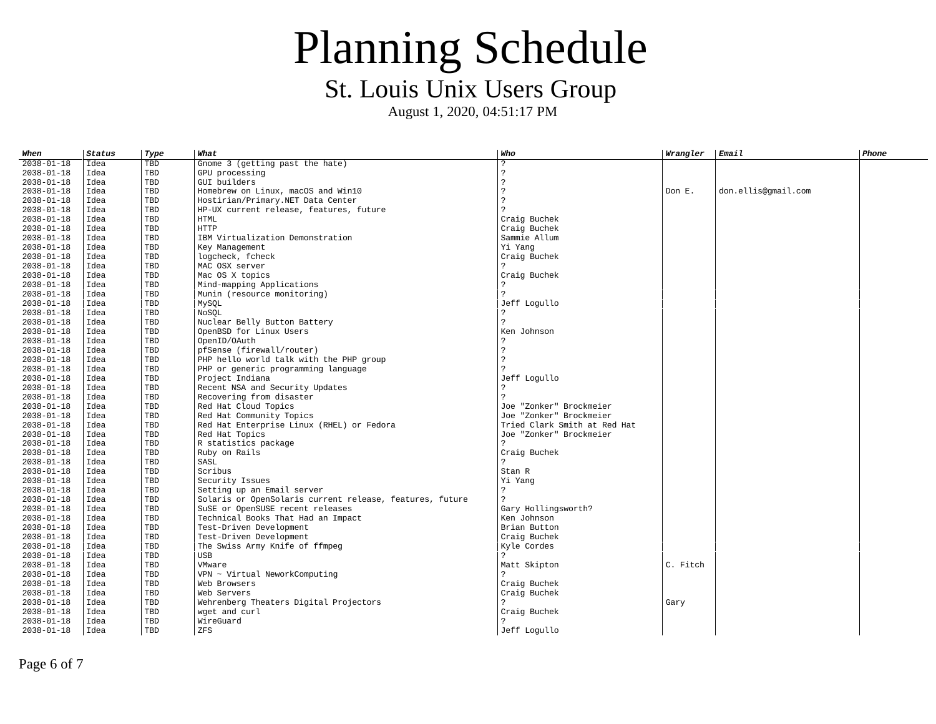| When             | <b>Status</b> | Type       | What                                                     | Who                          | Wrangler | <b>Email</b>        | <b>Phone</b> |
|------------------|---------------|------------|----------------------------------------------------------|------------------------------|----------|---------------------|--------------|
| $2038 - 01 - 18$ | Idea          | <b>TBD</b> | Gnome 3 (getting past the hate)                          | 2                            |          |                     |              |
| 2038-01-18       | Idea          | TBD        | GPU processing                                           | 2                            |          |                     |              |
| $2038 - 01 - 18$ | Idea          | <b>TBD</b> | GUI builders                                             | $\mathcal{P}$                |          |                     |              |
| $2038 - 01 - 18$ | Idea          | <b>TBD</b> | Homebrew on Linux, macOS and Win10                       | $\mathcal{P}$                | Don E.   | don.ellis@qmail.com |              |
| $2038 - 01 - 18$ | Idea          | TBD        | Hostirian/Primary.NET Data Center                        | $\mathcal{P}$                |          |                     |              |
| 2038-01-18       | Idea          | <b>TBD</b> | HP-UX current release, features, future                  |                              |          |                     |              |
| 2038-01-18       | Idea          | <b>TBD</b> | <b>HTML</b>                                              | Craig Buchek                 |          |                     |              |
| $2038 - 01 - 18$ | Idea          | <b>TBD</b> | <b>HTTP</b>                                              | Craig Buchek                 |          |                     |              |
| $2038 - 01 - 18$ | Idea          | <b>TBD</b> | IBM Virtualization Demonstration                         | Sammie Allum                 |          |                     |              |
| $2038 - 01 - 18$ | Idea          | <b>TBD</b> | Key Management                                           | Yi Yang                      |          |                     |              |
| 2038-01-18       | Idea          | <b>TBD</b> | logcheck, fcheck                                         | Craig Buchek                 |          |                     |              |
| 2038-01-18       | Idea          | TBD        | MAC OSX server                                           | $\mathcal{P}$                |          |                     |              |
| 2038-01-18       | Idea          | <b>TBD</b> | Mac OS X topics                                          | Craig Buchek                 |          |                     |              |
| $2038 - 01 - 18$ | Idea          | <b>TBD</b> | Mind-mapping Applications                                |                              |          |                     |              |
| 2038-01-18       | Idea          | <b>TBD</b> | Munin (resource monitoring)                              |                              |          |                     |              |
| 2038-01-18       | Idea          | TBD        | MySQL                                                    | Jeff Logullo                 |          |                     |              |
| $2038 - 01 - 18$ | Idea          | <b>TBD</b> | NoSOL                                                    |                              |          |                     |              |
| 2038-01-18       | Idea          | <b>TBD</b> | Nuclear Belly Button Battery                             | $\mathcal{P}$                |          |                     |              |
| $2038 - 01 - 18$ | Idea          | TBD        | OpenBSD for Linux Users                                  | Ken Johnson                  |          |                     |              |
| $2038 - 01 - 18$ | Idea          | <b>TBD</b> | OpenID/OAuth                                             | 2                            |          |                     |              |
| $2038 - 01 - 18$ | Idea          | <b>TBD</b> | pfSense (firewall/router)                                | $\overline{2}$               |          |                     |              |
| 2038-01-18       | Idea          | <b>TBD</b> | PHP hello world talk with the PHP group                  |                              |          |                     |              |
| 2038-01-18       | Idea          | <b>TBD</b> | PHP or generic programming language                      |                              |          |                     |              |
| $2038 - 01 - 18$ | Idea          | <b>TBD</b> | Project Indiana                                          | Jeff Logullo                 |          |                     |              |
| 2038-01-18       | Idea          | <b>TBD</b> | Recent NSA and Security Updates                          |                              |          |                     |              |
| $2038 - 01 - 18$ | Idea          | <b>TBD</b> | Recovering from disaster                                 | $\mathcal{P}$                |          |                     |              |
| $2038 - 01 - 18$ | Idea          | <b>TBD</b> | Red Hat Cloud Topics                                     | Joe "Zonker" Brockmeier      |          |                     |              |
| $2038 - 01 - 18$ | Idea          | TBD        | Red Hat Community Topics                                 | Joe "Zonker" Brockmeier      |          |                     |              |
| 2038-01-18       | Idea          | <b>TBD</b> | Red Hat Enterprise Linux (RHEL) or Fedora                | Tried Clark Smith at Red Hat |          |                     |              |
| 2038-01-18       | Idea          | TBD        | Red Hat Topics                                           | Joe "Zonker" Brockmeier      |          |                     |              |
| $2038 - 01 - 18$ | Idea          | <b>TBD</b> | R statistics package                                     | $\mathcal{P}$                |          |                     |              |
| 2038-01-18       | Idea          | <b>TBD</b> | Ruby on Rails                                            | Craig Buchek                 |          |                     |              |
| $2038 - 01 - 18$ | Idea          | <b>TBD</b> | SASL                                                     | $\mathcal{P}$                |          |                     |              |
| $2038 - 01 - 18$ | Idea          | <b>TBD</b> | Scribus                                                  | Stan R                       |          |                     |              |
| 2038-01-18       | Idea          | TBD        | Security Issues                                          | Yi Yang                      |          |                     |              |
| 2038-01-18       | Idea          | <b>TBD</b> | Setting up an Email server                               | $\overline{2}$               |          |                     |              |
| 2038-01-18       | Idea          | <b>TBD</b> | Solaris or OpenSolaris current release, features, future | 2                            |          |                     |              |
| 2038-01-18       | Idea          | TBD        | SuSE or OpenSUSE recent releases                         | Gary Hollingsworth?          |          |                     |              |
| 2038-01-18       | Idea          | <b>TBD</b> | Technical Books That Had an Impact                       | Ken Johnson                  |          |                     |              |
| 2038-01-18       | Idea          | <b>TBD</b> | Test-Driven Development                                  | Brian Button                 |          |                     |              |
| $2038 - 01 - 18$ | Idea          | <b>TBD</b> | Test-Driven Development                                  | Craig Buchek                 |          |                     |              |
| 2038-01-18       | Idea          | TBD        | The Swiss Army Knife of ffmpeg                           | Kyle Cordes                  |          |                     |              |
| $2038 - 01 - 18$ | Idea          | <b>TBD</b> | <b>USB</b>                                               | $\mathcal{P}$                |          |                     |              |
| 2038-01-18       | Idea          | <b>TBD</b> | VMware                                                   | Matt Skipton                 | C. Fitch |                     |              |
| $2038 - 01 - 18$ | Idea          | TBD        | VPN ~ Virtual NeworkComputing                            |                              |          |                     |              |
| 2038-01-18       | Idea          | <b>TBD</b> | Web Browsers                                             | Craig Buchek                 |          |                     |              |
| $2038 - 01 - 18$ | Idea          | <b>TBD</b> | Web Servers                                              | Craig Buchek                 |          |                     |              |
| $2038 - 01 - 18$ | Idea          | <b>TBD</b> | Wehrenberg Theaters Digital Projectors                   |                              | Gary     |                     |              |
| 2038-01-18       | Idea          | TBD        | wget and curl                                            | Craig Buchek                 |          |                     |              |
| 2038-01-18       | Idea          | <b>TBD</b> | WireGuard                                                |                              |          |                     |              |
| $2038 - 01 - 18$ | Idea          | <b>TBD</b> | <b>ZFS</b>                                               | Jeff Logullo                 |          |                     |              |